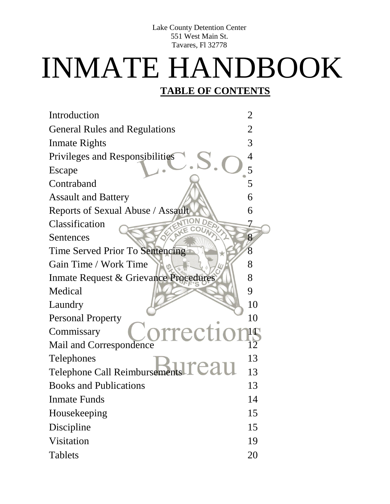Lake County Detention Center 551 West Main St. Tavares, Fl 32778

# INMATE HANDBOOK

#### **TABLE OF CONTENTS**

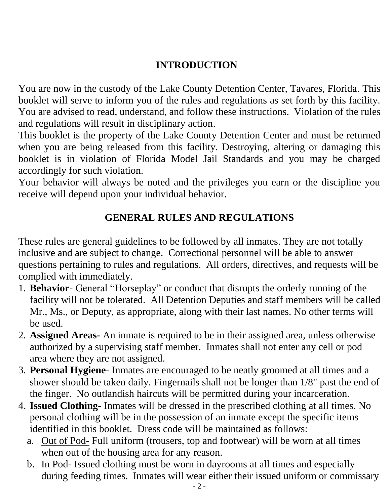# **INTRODUCTION**

You are now in the custody of the Lake County Detention Center, Tavares, Florida. This booklet will serve to inform you of the rules and regulations as set forth by this facility. You are advised to read, understand, and follow these instructions. Violation of the rules and regulations will result in disciplinary action.

This booklet is the property of the Lake County Detention Center and must be returned when you are being released from this facility. Destroying, altering or damaging this booklet is in violation of Florida Model Jail Standards and you may be charged accordingly for such violation.

Your behavior will always be noted and the privileges you earn or the discipline you receive will depend upon your individual behavior.

# **GENERAL RULES AND REGULATIONS**

These rules are general guidelines to be followed by all inmates. They are not totally inclusive and are subject to change. Correctional personnel will be able to answer questions pertaining to rules and regulations. All orders, directives, and requests will be complied with immediately.

- 1. **Behavior** General "Horseplay" or conduct that disrupts the orderly running of the facility will not be tolerated. All Detention Deputies and staff members will be called Mr., Ms., or Deputy, as appropriate, along with their last names. No other terms will be used.
- 2. **Assigned Areas-** An inmate is required to be in their assigned area, unless otherwise authorized by a supervising staff member. Inmates shall not enter any cell or pod area where they are not assigned.
- 3. **Personal Hygiene** Inmates are encouraged to be neatly groomed at all times and a shower should be taken daily. Fingernails shall not be longer than 1/8" past the end of the finger. No outlandish haircuts will be permitted during your incarceration.
- 4. **Issued Clothing** Inmates will be dressed in the prescribed clothing at all times. No personal clothing will be in the possession of an inmate except the specific items identified in this booklet. Dress code will be maintained as follows:
	- a. Out of Pod- Full uniform (trousers, top and footwear) will be worn at all times when out of the housing area for any reason.
	- b. In Pod- Issued clothing must be worn in dayrooms at all times and especially during feeding times. Inmates will wear either their issued uniform or commissary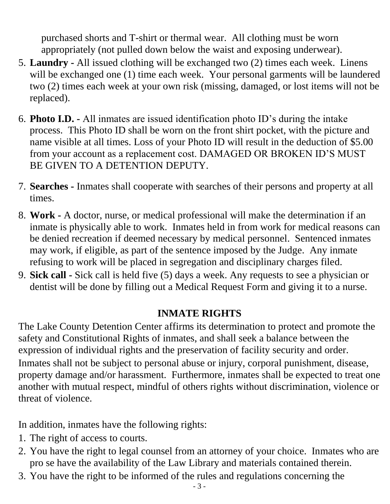purchased shorts and T-shirt or thermal wear. All clothing must be worn appropriately (not pulled down below the waist and exposing underwear).

- 5. **Laundry -** All issued clothing will be exchanged two (2) times each week. Linens will be exchanged one (1) time each week. Your personal garments will be laundered two (2) times each week at your own risk (missing, damaged, or lost items will not be replaced).
- 6. **Photo I.D. -** All inmates are issued identification photo ID's during the intake process. This Photo ID shall be worn on the front shirt pocket, with the picture and name visible at all times. Loss of your Photo ID will result in the deduction of \$5.00 from your account as a replacement cost. DAMAGED OR BROKEN ID'S MUST BE GIVEN TO A DETENTION DEPUTY.
- 7. **Searches -** Inmates shall cooperate with searches of their persons and property at all times.
- 8. **Work -** A doctor, nurse, or medical professional will make the determination if an inmate is physically able to work. Inmates held in from work for medical reasons can be denied recreation if deemed necessary by medical personnel. Sentenced inmates may work, if eligible, as part of the sentence imposed by the Judge. Any inmate refusing to work will be placed in segregation and disciplinary charges filed.
- 9. **Sick call -** Sick call is held five (5) days a week. Any requests to see a physician or dentist will be done by filling out a Medical Request Form and giving it to a nurse.

# **INMATE RIGHTS**

The Lake County Detention Center affirms its determination to protect and promote the safety and Constitutional Rights of inmates, and shall seek a balance between the expression of individual rights and the preservation of facility security and order. Inmates shall not be subject to personal abuse or injury, corporal punishment, disease, property damage and/or harassment. Furthermore, inmates shall be expected to treat one another with mutual respect, mindful of others rights without discrimination, violence or threat of violence.

In addition, inmates have the following rights:

- 1. The right of access to courts.
- 2. You have the right to legal counsel from an attorney of your choice. Inmates who are pro se have the availability of the Law Library and materials contained therein.
- 3. You have the right to be informed of the rules and regulations concerning the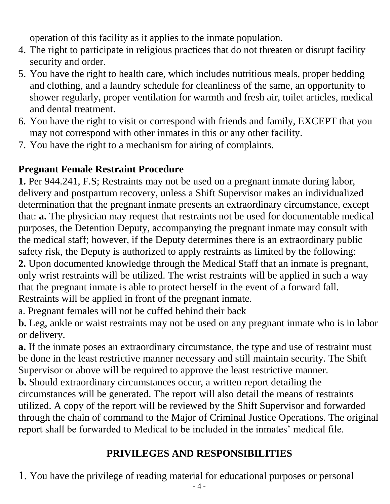operation of this facility as it applies to the inmate population.

- 4. The right to participate in religious practices that do not threaten or disrupt facility security and order.
- 5. You have the right to health care, which includes nutritious meals, proper bedding and clothing, and a laundry schedule for cleanliness of the same, an opportunity to shower regularly, proper ventilation for warmth and fresh air, toilet articles, medical and dental treatment.
- 6. You have the right to visit or correspond with friends and family, EXCEPT that you may not correspond with other inmates in this or any other facility.
- 7. You have the right to a mechanism for airing of complaints.

# **Pregnant Female Restraint Procedure**

**1.** Per 944.241, F.S; Restraints may not be used on a pregnant inmate during labor, delivery and postpartum recovery, unless a Shift Supervisor makes an individualized determination that the pregnant inmate presents an extraordinary circumstance, except that: **a.** The physician may request that restraints not be used for documentable medical purposes, the Detention Deputy, accompanying the pregnant inmate may consult with the medical staff; however, if the Deputy determines there is an extraordinary public safety risk, the Deputy is authorized to apply restraints as limited by the following: **2.** Upon documented knowledge through the Medical Staff that an inmate is pregnant, only wrist restraints will be utilized. The wrist restraints will be applied in such a way that the pregnant inmate is able to protect herself in the event of a forward fall.

Restraints will be applied in front of the pregnant inmate.

a. Pregnant females will not be cuffed behind their back

**b.** Leg, ankle or waist restraints may not be used on any pregnant inmate who is in labor or delivery.

**a.** If the inmate poses an extraordinary circumstance, the type and use of restraint must be done in the least restrictive manner necessary and still maintain security. The Shift Supervisor or above will be required to approve the least restrictive manner.

**b.** Should extraordinary circumstances occur, a written report detailing the circumstances will be generated. The report will also detail the means of restraints utilized. A copy of the report will be reviewed by the Shift Supervisor and forwarded through the chain of command to the Major of Criminal Justice Operations. The original report shall be forwarded to Medical to be included in the inmates' medical file.

# **PRIVILEGES AND RESPONSIBILITIES**

1. You have the privilege of reading material for educational purposes or personal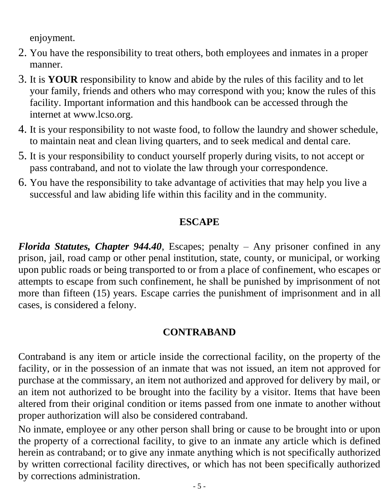enjoyment.

- 2. You have the responsibility to treat others, both employees and inmates in a proper manner.
- 3. It is **YOUR** responsibility to know and abide by the rules of this facility and to let your family, friends and others who may correspond with you; know the rules of this facility. Important information and this handbook can be accessed through the internet at www.lcso.org.
- 4. It is your responsibility to not waste food, to follow the laundry and shower schedule, to maintain neat and clean living quarters, and to seek medical and dental care.
- 5. It is your responsibility to conduct yourself properly during visits, to not accept or pass contraband, and not to violate the law through your correspondence.
- 6. You have the responsibility to take advantage of activities that may help you live a successful and law abiding life within this facility and in the community.

### **ESCAPE**

*Florida Statutes, Chapter 944.40*, Escapes; penalty – Any prisoner confined in any prison, jail, road camp or other penal institution, state, county, or municipal, or working upon public roads or being transported to or from a place of confinement, who escapes or attempts to escape from such confinement, he shall be punished by imprisonment of not more than fifteen (15) years. Escape carries the punishment of imprisonment and in all cases, is considered a felony.

# **CONTRABAND**

Contraband is any item or article inside the correctional facility, on the property of the facility, or in the possession of an inmate that was not issued, an item not approved for purchase at the commissary, an item not authorized and approved for delivery by mail, or an item not authorized to be brought into the facility by a visitor. Items that have been altered from their original condition or items passed from one inmate to another without proper authorization will also be considered contraband.

No inmate, employee or any other person shall bring or cause to be brought into or upon the property of a correctional facility, to give to an inmate any article which is defined herein as contraband; or to give any inmate anything which is not specifically authorized by written correctional facility directives, or which has not been specifically authorized by corrections administration.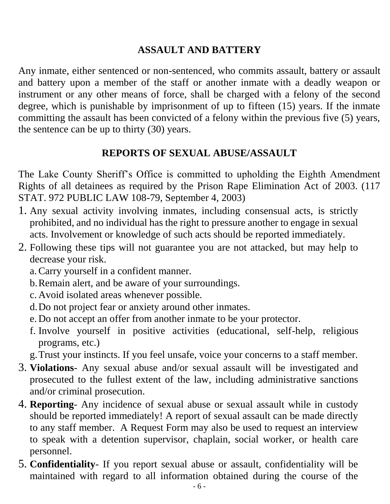# **ASSAULT AND BATTERY**

Any inmate, either sentenced or non-sentenced, who commits assault, battery or assault and battery upon a member of the staff or another inmate with a deadly weapon or instrument or any other means of force, shall be charged with a felony of the second degree, which is punishable by imprisonment of up to fifteen (15) years. If the inmate committing the assault has been convicted of a felony within the previous five (5) years, the sentence can be up to thirty (30) years.

#### **REPORTS OF SEXUAL ABUSE/ASSAULT**

The Lake County Sheriff's Office is committed to upholding the Eighth Amendment Rights of all detainees as required by the Prison Rape Elimination Act of 2003. (117 STAT. 972 PUBLIC LAW 108-79, September 4, 2003)

- 1. Any sexual activity involving inmates, including consensual acts, is strictly prohibited, and no individual has the right to pressure another to engage in sexual acts. Involvement or knowledge of such acts should be reported immediately.
- 2. Following these tips will not guarantee you are not attacked, but may help to decrease your risk.
	- a.Carry yourself in a confident manner.
	- b.Remain alert, and be aware of your surroundings.
	- c. Avoid isolated areas whenever possible.
	- d.Do not project fear or anxiety around other inmates.
	- e. Do not accept an offer from another inmate to be your protector.
	- f. Involve yourself in positive activities (educational, self-help, religious programs, etc.)

g.Trust your instincts. If you feel unsafe, voice your concerns to a staff member.

- 3. **Violations** Any sexual abuse and/or sexual assault will be investigated and prosecuted to the fullest extent of the law, including administrative sanctions and/or criminal prosecution.
- 4. **Reporting** Any incidence of sexual abuse or sexual assault while in custody should be reported immediately! A report of sexual assault can be made directly to any staff member. A Request Form may also be used to request an interview to speak with a detention supervisor, chaplain, social worker, or health care personnel.
- 5. **Confidentiality** If you report sexual abuse or assault, confidentiality will be maintained with regard to all information obtained during the course of the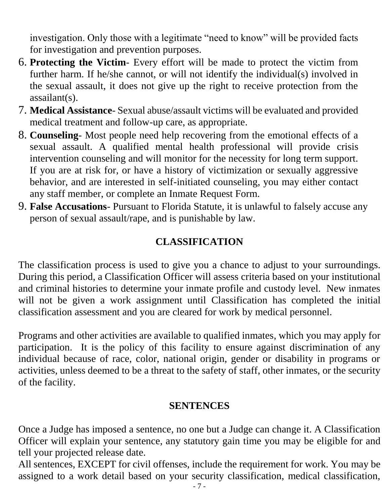investigation. Only those with a legitimate "need to know" will be provided facts for investigation and prevention purposes.

- 6. **Protecting the Victim** Every effort will be made to protect the victim from further harm. If he/she cannot, or will not identify the individual(s) involved in the sexual assault, it does not give up the right to receive protection from the assailant(s).
- 7. **Medical Assistance** Sexual abuse/assault victims will be evaluated and provided medical treatment and follow-up care, as appropriate.
- 8. **Counseling** Most people need help recovering from the emotional effects of a sexual assault. A qualified mental health professional will provide crisis intervention counseling and will monitor for the necessity for long term support. If you are at risk for, or have a history of victimization or sexually aggressive behavior, and are interested in self-initiated counseling, you may either contact any staff member, or complete an Inmate Request Form.
- 9. **False Accusations** Pursuant to Florida Statute, it is unlawful to falsely accuse any person of sexual assault/rape, and is punishable by law.

# **CLASSIFICATION**

The classification process is used to give you a chance to adjust to your surroundings. During this period, a Classification Officer will assess criteria based on your institutional and criminal histories to determine your inmate profile and custody level. New inmates will not be given a work assignment until Classification has completed the initial classification assessment and you are cleared for work by medical personnel.

Programs and other activities are available to qualified inmates, which you may apply for participation. It is the policy of this facility to ensure against discrimination of any individual because of race, color, national origin, gender or disability in programs or activities, unless deemed to be a threat to the safety of staff, other inmates, or the security of the facility.

#### **SENTENCES**

Once a Judge has imposed a sentence, no one but a Judge can change it. A Classification Officer will explain your sentence, any statutory gain time you may be eligible for and tell your projected release date.

All sentences, EXCEPT for civil offenses, include the requirement for work. You may be assigned to a work detail based on your security classification, medical classification,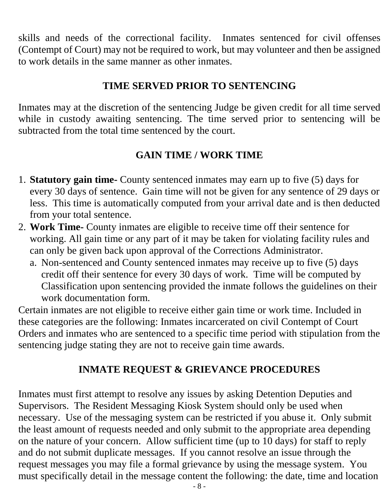skills and needs of the correctional facility. Inmates sentenced for civil offenses (Contempt of Court) may not be required to work, but may volunteer and then be assigned to work details in the same manner as other inmates.

#### **TIME SERVED PRIOR TO SENTENCING**

Inmates may at the discretion of the sentencing Judge be given credit for all time served while in custody awaiting sentencing. The time served prior to sentencing will be subtracted from the total time sentenced by the court.

# **GAIN TIME / WORK TIME**

- 1. **Statutory gain time-** County sentenced inmates may earn up to five (5) days for every 30 days of sentence. Gain time will not be given for any sentence of 29 days or less. This time is automatically computed from your arrival date and is then deducted from your total sentence.
- 2. **Work Time-** County inmates are eligible to receive time off their sentence for working. All gain time or any part of it may be taken for violating facility rules and can only be given back upon approval of the Corrections Administrator.
	- a. Non-sentenced and County sentenced inmates may receive up to five (5) days credit off their sentence for every 30 days of work. Time will be computed by Classification upon sentencing provided the inmate follows the guidelines on their work documentation form.

Certain inmates are not eligible to receive either gain time or work time. Included in these categories are the following: Inmates incarcerated on civil Contempt of Court Orders and inmates who are sentenced to a specific time period with stipulation from the sentencing judge stating they are not to receive gain time awards.

# **INMATE REQUEST & GRIEVANCE PROCEDURES**

Inmates must first attempt to resolve any issues by asking Detention Deputies and Supervisors. The Resident Messaging Kiosk System should only be used when necessary. Use of the messaging system can be restricted if you abuse it. Only submit the least amount of requests needed and only submit to the appropriate area depending on the nature of your concern. Allow sufficient time (up to 10 days) for staff to reply and do not submit duplicate messages. If you cannot resolve an issue through the request messages you may file a formal grievance by using the message system. You must specifically detail in the message content the following: the date, time and location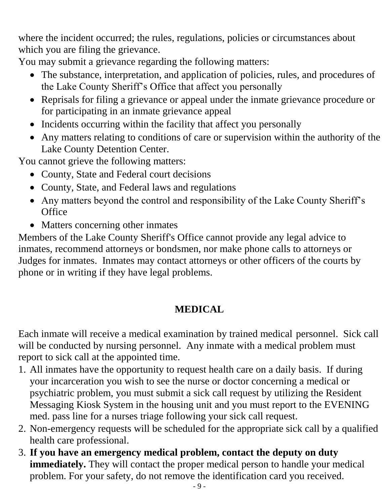where the incident occurred; the rules, regulations, policies or circumstances about which you are filing the grievance.

You may submit a grievance regarding the following matters:

- The substance, interpretation, and application of policies, rules, and procedures of the Lake County Sheriff's Office that affect you personally
- Reprisals for filing a grievance or appeal under the inmate grievance procedure or for participating in an inmate grievance appeal
- Incidents occurring within the facility that affect you personally
- Any matters relating to conditions of care or supervision within the authority of the Lake County Detention Center.

You cannot grieve the following matters:

- County, State and Federal court decisions
- County, State, and Federal laws and regulations
- Any matters beyond the control and responsibility of the Lake County Sheriff's **Office**
- Matters concerning other inmates

Members of the Lake County Sheriff's Office cannot provide any legal advice to inmates, recommend attorneys or bondsmen, nor make phone calls to attorneys or Judges for inmates. Inmates may contact attorneys or other officers of the courts by phone or in writing if they have legal problems.

# **MEDICAL**

Each inmate will receive a medical examination by trained medical personnel. Sick call will be conducted by nursing personnel. Any inmate with a medical problem must report to sick call at the appointed time.

- 1. All inmates have the opportunity to request health care on a daily basis. If during your incarceration you wish to see the nurse or doctor concerning a medical or psychiatric problem, you must submit a sick call request by utilizing the Resident Messaging Kiosk System in the housing unit and you must report to the EVENING med. pass line for a nurses triage following your sick call request.
- 2. Non-emergency requests will be scheduled for the appropriate sick call by a qualified health care professional.
- 3. **If you have an emergency medical problem, contact the deputy on duty immediately.** They will contact the proper medical person to handle your medical problem. For your safety, do not remove the identification card you received.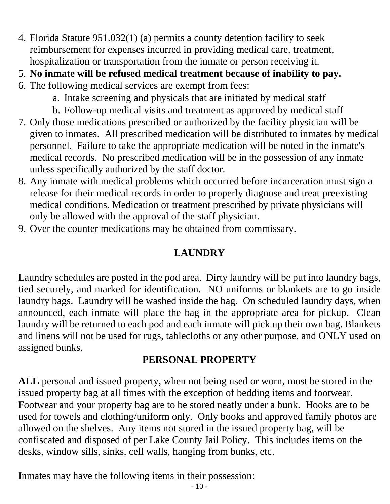- 4. Florida Statute 951.032(1) (a) permits a county detention facility to seek reimbursement for expenses incurred in providing medical care, treatment, hospitalization or transportation from the inmate or person receiving it.
- 5. **No inmate will be refused medical treatment because of inability to pay.**
- 6. The following medical services are exempt from fees:
	- a. Intake screening and physicals that are initiated by medical staff
	- b. Follow-up medical visits and treatment as approved by medical staff
- 7. Only those medications prescribed or authorized by the facility physician will be given to inmates. All prescribed medication will be distributed to inmates by medical personnel. Failure to take the appropriate medication will be noted in the inmate's medical records. No prescribed medication will be in the possession of any inmate unless specifically authorized by the staff doctor.
- 8. Any inmate with medical problems which occurred before incarceration must sign a release for their medical records in order to properly diagnose and treat preexisting medical conditions. Medication or treatment prescribed by private physicians will only be allowed with the approval of the staff physician.
- 9. Over the counter medications may be obtained from commissary.

# **LAUNDRY**

Laundry schedules are posted in the pod area. Dirty laundry will be put into laundry bags, tied securely, and marked for identification. NO uniforms or blankets are to go inside laundry bags. Laundry will be washed inside the bag. On scheduled laundry days, when announced, each inmate will place the bag in the appropriate area for pickup. Clean laundry will be returned to each pod and each inmate will pick up their own bag. Blankets and linens will not be used for rugs, tablecloths or any other purpose, and ONLY used on assigned bunks.

# **PERSONAL PROPERTY**

**ALL** personal and issued property, when not being used or worn, must be stored in the issued property bag at all times with the exception of bedding items and footwear. Footwear and your property bag are to be stored neatly under a bunk. Hooks are to be used for towels and clothing/uniform only. Only books and approved family photos are allowed on the shelves. Any items not stored in the issued property bag, will be confiscated and disposed of per Lake County Jail Policy. This includes items on the desks, window sills, sinks, cell walls, hanging from bunks, etc.

Inmates may have the following items in their possession: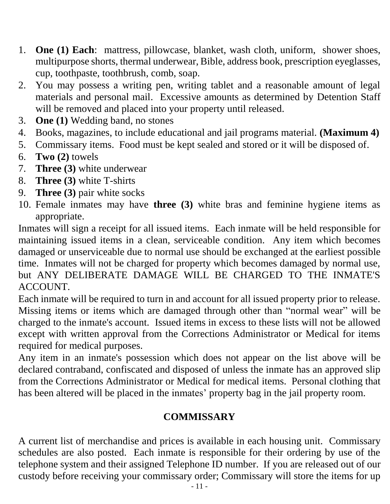- 1. **One (1) Each**: mattress, pillowcase, blanket, wash cloth, uniform, shower shoes, multipurpose shorts, thermal underwear, Bible, address book, prescription eyeglasses, cup, toothpaste, toothbrush, comb, soap.
- 2. You may possess a writing pen, writing tablet and a reasonable amount of legal materials and personal mail. Excessive amounts as determined by Detention Staff will be removed and placed into your property until released.
- 3. **One (1)** Wedding band, no stones
- 4. Books, magazines, to include educational and jail programs material. **(Maximum 4)**
- 5. Commissary items. Food must be kept sealed and stored or it will be disposed of.
- 6. **Two (2)** towels
- 7. **Three (3)** white underwear
- 8. **Three (3)** white T-shirts
- 9. **Three (3)** pair white socks
- 10. Female inmates may have **three (3)** white bras and feminine hygiene items as appropriate.

Inmates will sign a receipt for all issued items. Each inmate will be held responsible for maintaining issued items in a clean, serviceable condition. Any item which becomes damaged or unserviceable due to normal use should be exchanged at the earliest possible time. Inmates will not be charged for property which becomes damaged by normal use, but ANY DELIBERATE DAMAGE WILL BE CHARGED TO THE INMATE'S ACCOUNT.

Each inmate will be required to turn in and account for all issued property prior to release. Missing items or items which are damaged through other than "normal wear" will be charged to the inmate's account. Issued items in excess to these lists will not be allowed except with written approval from the Corrections Administrator or Medical for items required for medical purposes.

Any item in an inmate's possession which does not appear on the list above will be declared contraband, confiscated and disposed of unless the inmate has an approved slip from the Corrections Administrator or Medical for medical items. Personal clothing that has been altered will be placed in the inmates' property bag in the jail property room.

#### **COMMISSARY**

A current list of merchandise and prices is available in each housing unit. Commissary schedules are also posted. Each inmate is responsible for their ordering by use of the telephone system and their assigned Telephone ID number. If you are released out of our custody before receiving your commissary order; Commissary will store the items for up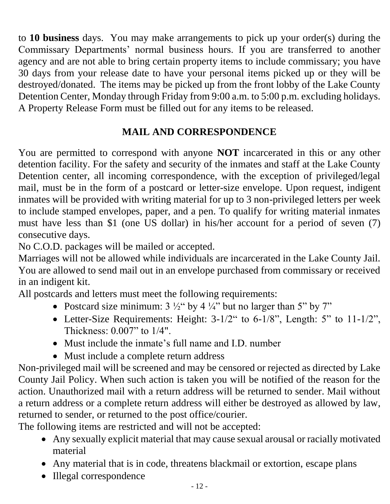to **10 business** days. You may make arrangements to pick up your order(s) during the Commissary Departments' normal business hours. If you are transferred to another agency and are not able to bring certain property items to include commissary; you have 30 days from your release date to have your personal items picked up or they will be destroyed/donated. The items may be picked up from the front lobby of the Lake County Detention Center, Monday through Friday from 9:00 a.m. to 5:00 p.m. excluding holidays. A Property Release Form must be filled out for any items to be released.

# **MAIL AND CORRESPONDENCE**

You are permitted to correspond with anyone **NOT** incarcerated in this or any other detention facility. For the safety and security of the inmates and staff at the Lake County Detention center, all incoming correspondence, with the exception of privileged/legal mail, must be in the form of a postcard or letter-size envelope. Upon request, indigent inmates will be provided with writing material for up to 3 non-privileged letters per week to include stamped envelopes, paper, and a pen. To qualify for writing material inmates must have less than \$1 (one US dollar) in his/her account for a period of seven (7) consecutive days.

No C.O.D. packages will be mailed or accepted.

Marriages will not be allowed while individuals are incarcerated in the Lake County Jail. You are allowed to send mail out in an envelope purchased from commissary or received in an indigent kit.

All postcards and letters must meet the following requirements:

- Postcard size minimum:  $3\frac{1}{2}$ " by  $4\frac{1}{4}$ " but no larger than  $5$ " by  $7$ "
- Letter-Size Requirements: Height: 3-1/2" to 6-1/8", Length: 5" to 11-1/2", Thickness: 0.007" to 1/4".
- Must include the inmate's full name and I.D. number
- Must include a complete return address

Non-privileged mail will be screened and may be censored or rejected as directed by Lake County Jail Policy. When such action is taken you will be notified of the reason for the action. Unauthorized mail with a return address will be returned to sender. Mail without a return address or a complete return address will either be destroyed as allowed by law, returned to sender, or returned to the post office/courier.

The following items are restricted and will not be accepted:

- Any sexually explicit material that may cause sexual arousal or racially motivated material
- Any material that is in code, threatens blackmail or extortion, escape plans
- Illegal correspondence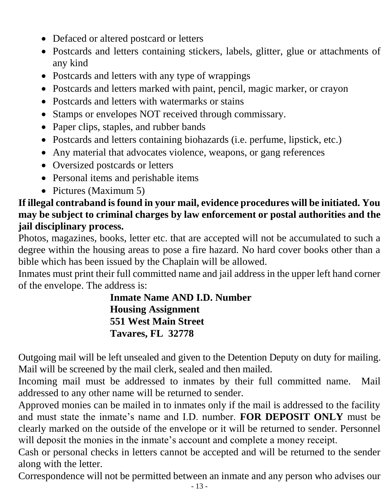- Defaced or altered postcard or letters
- Postcards and letters containing stickers, labels, glitter, glue or attachments of any kind
- Postcards and letters with any type of wrappings
- Postcards and letters marked with paint, pencil, magic marker, or crayon
- Postcards and letters with watermarks or stains
- Stamps or envelopes NOT received through commissary.
- Paper clips, staples, and rubber bands
- Postcards and letters containing biohazards (i.e. perfume, lipstick, etc.)
- Any material that advocates violence, weapons, or gang references
- Oversized postcards or letters
- Personal items and perishable items
- Pictures (Maximum 5)

# **If illegal contraband is found in your mail, evidence procedures will be initiated. You may be subject to criminal charges by law enforcement or postal authorities and the jail disciplinary process.**

Photos, magazines, books, letter etc. that are accepted will not be accumulated to such a degree within the housing areas to pose a fire hazard. No hard cover books other than a bible which has been issued by the Chaplain will be allowed.

Inmates must print their full committed name and jail address in the upper left hand corner of the envelope. The address is:

> **Inmate Name AND I.D. Number Housing Assignment 551 West Main Street Tavares, FL 32778**

Outgoing mail will be left unsealed and given to the Detention Deputy on duty for mailing. Mail will be screened by the mail clerk, sealed and then mailed.

Incoming mail must be addressed to inmates by their full committed name. Mail addressed to any other name will be returned to sender.

Approved monies can be mailed in to inmates only if the mail is addressed to the facility and must state the inmate's name and I.D. number. **FOR DEPOSIT ONLY** must be clearly marked on the outside of the envelope or it will be returned to sender. Personnel will deposit the monies in the inmate's account and complete a money receipt.

Cash or personal checks in letters cannot be accepted and will be returned to the sender along with the letter.

Correspondence will not be permitted between an inmate and any person who advises our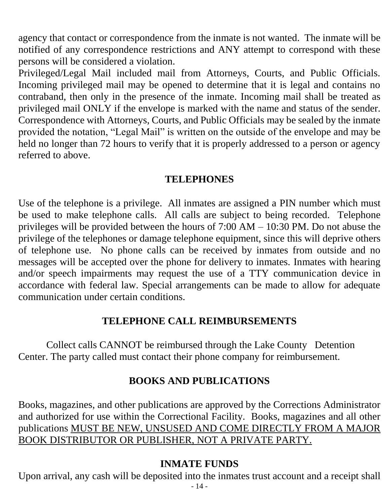agency that contact or correspondence from the inmate is not wanted. The inmate will be notified of any correspondence restrictions and ANY attempt to correspond with these persons will be considered a violation.

Privileged/Legal Mail included mail from Attorneys, Courts, and Public Officials. Incoming privileged mail may be opened to determine that it is legal and contains no contraband, then only in the presence of the inmate. Incoming mail shall be treated as privileged mail ONLY if the envelope is marked with the name and status of the sender. Correspondence with Attorneys, Courts, and Public Officials may be sealed by the inmate provided the notation, "Legal Mail" is written on the outside of the envelope and may be held no longer than 72 hours to verify that it is properly addressed to a person or agency referred to above.

#### **TELEPHONES**

Use of the telephone is a privilege. All inmates are assigned a PIN number which must be used to make telephone calls. All calls are subject to being recorded. Telephone privileges will be provided between the hours of  $7:00$  AM –  $10:30$  PM. Do not abuse the privilege of the telephones or damage telephone equipment, since this will deprive others of telephone use. No phone calls can be received by inmates from outside and no messages will be accepted over the phone for delivery to inmates. Inmates with hearing and/or speech impairments may request the use of a TTY communication device in accordance with federal law. Special arrangements can be made to allow for adequate communication under certain conditions.

#### **TELEPHONE CALL REIMBURSEMENTS**

Collect calls CANNOT be reimbursed through the Lake County Detention Center. The party called must contact their phone company for reimbursement.

#### **BOOKS AND PUBLICATIONS**

Books, magazines, and other publications are approved by the Corrections Administrator and authorized for use within the Correctional Facility. Books, magazines and all other publications MUST BE NEW, UNSUSED AND COME DIRECTLY FROM A MAJOR BOOK DISTRIBUTOR OR PUBLISHER, NOT A PRIVATE PARTY.

#### **INMATE FUNDS**

Upon arrival, any cash will be deposited into the inmates trust account and a receipt shall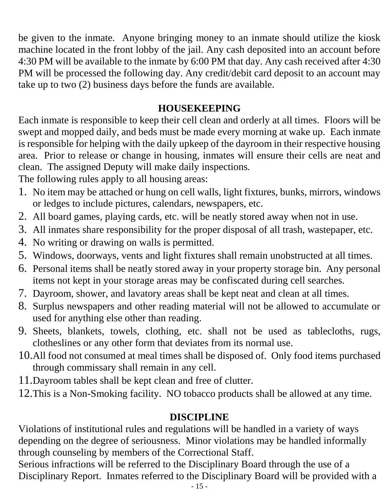be given to the inmate. Anyone bringing money to an inmate should utilize the kiosk machine located in the front lobby of the jail. Any cash deposited into an account before 4:30 PM will be available to the inmate by 6:00 PM that day. Any cash received after 4:30 PM will be processed the following day. Any credit/debit card deposit to an account may take up to two (2) business days before the funds are available.

#### **HOUSEKEEPING**

Each inmate is responsible to keep their cell clean and orderly at all times. Floors will be swept and mopped daily, and beds must be made every morning at wake up. Each inmate is responsible for helping with the daily upkeep of the dayroom in their respective housing area. Prior to release or change in housing, inmates will ensure their cells are neat and clean. The assigned Deputy will make daily inspections.

The following rules apply to all housing areas:

- 1. No item may be attached or hung on cell walls, light fixtures, bunks, mirrors, windows or ledges to include pictures, calendars, newspapers, etc.
- 2. All board games, playing cards, etc. will be neatly stored away when not in use.
- 3. All inmates share responsibility for the proper disposal of all trash, wastepaper, etc.
- 4. No writing or drawing on walls is permitted.
- 5. Windows, doorways, vents and light fixtures shall remain unobstructed at all times.
- 6. Personal items shall be neatly stored away in your property storage bin. Any personal items not kept in your storage areas may be confiscated during cell searches.
- 7. Dayroom, shower, and lavatory areas shall be kept neat and clean at all times.
- 8. Surplus newspapers and other reading material will not be allowed to accumulate or used for anything else other than reading.
- 9. Sheets, blankets, towels, clothing, etc. shall not be used as tablecloths, rugs, clotheslines or any other form that deviates from its normal use.
- 10.All food not consumed at meal times shall be disposed of. Only food items purchased through commissary shall remain in any cell.
- 11.Dayroom tables shall be kept clean and free of clutter.
- 12.This is a Non-Smoking facility. NO tobacco products shall be allowed at any time.

# **DISCIPLINE**

Violations of institutional rules and regulations will be handled in a variety of ways depending on the degree of seriousness. Minor violations may be handled informally through counseling by members of the Correctional Staff.

Serious infractions will be referred to the Disciplinary Board through the use of a Disciplinary Report. Inmates referred to the Disciplinary Board will be provided with a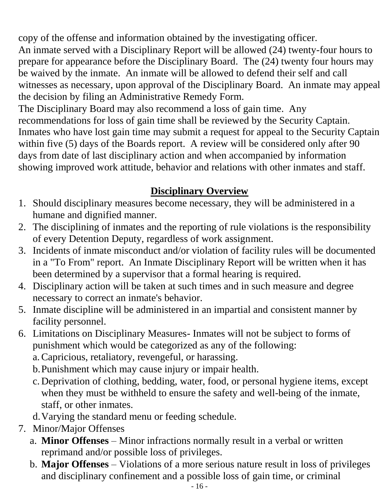copy of the offense and information obtained by the investigating officer.

An inmate served with a Disciplinary Report will be allowed (24) twenty-four hours to prepare for appearance before the Disciplinary Board. The (24) twenty four hours may be waived by the inmate. An inmate will be allowed to defend their self and call witnesses as necessary, upon approval of the Disciplinary Board. An inmate may appeal the decision by filing an Administrative Remedy Form.

The Disciplinary Board may also recommend a loss of gain time. Any recommendations for loss of gain time shall be reviewed by the Security Captain. Inmates who have lost gain time may submit a request for appeal to the Security Captain within five (5) days of the Boards report. A review will be considered only after 90 days from date of last disciplinary action and when accompanied by information showing improved work attitude, behavior and relations with other inmates and staff.

# **Disciplinary Overview**

- 1. Should disciplinary measures become necessary, they will be administered in a humane and dignified manner.
- 2. The disciplining of inmates and the reporting of rule violations is the responsibility of every Detention Deputy, regardless of work assignment.
- 3. Incidents of inmate misconduct and/or violation of facility rules will be documented in a "To From" report. An Inmate Disciplinary Report will be written when it has been determined by a supervisor that a formal hearing is required.
- 4. Disciplinary action will be taken at such times and in such measure and degree necessary to correct an inmate's behavior.
- 5. Inmate discipline will be administered in an impartial and consistent manner by facility personnel.
- 6. Limitations on Disciplinary Measures- Inmates will not be subject to forms of punishment which would be categorized as any of the following:
	- a.Capricious, retaliatory, revengeful, or harassing.
	- b.Punishment which may cause injury or impair health.
	- c. Deprivation of clothing, bedding, water, food, or personal hygiene items, except when they must be withheld to ensure the safety and well-being of the inmate, staff, or other inmates.
	- d.Varying the standard menu or feeding schedule.
- 7. Minor/Major Offenses
	- a. **Minor Offenses** Minor infractions normally result in a verbal or written reprimand and/or possible loss of privileges.
	- b. **Major Offenses** Violations of a more serious nature result in loss of privileges and disciplinary confinement and a possible loss of gain time, or criminal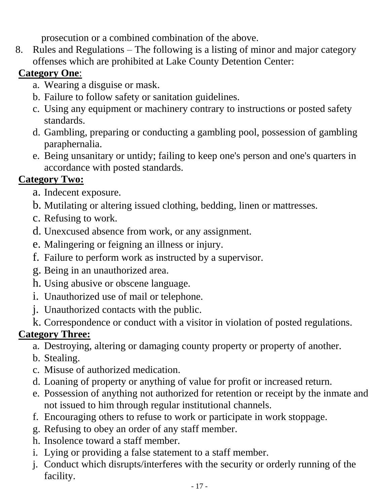prosecution or a combined combination of the above.

8. Rules and Regulations – The following is a listing of minor and major category offenses which are prohibited at Lake County Detention Center:

# **Category One**:

- a. Wearing a disguise or mask.
- b. Failure to follow safety or sanitation guidelines.
- c. Using any equipment or machinery contrary to instructions or posted safety standards.
- d. Gambling, preparing or conducting a gambling pool, possession of gambling paraphernalia.
- e. Being unsanitary or untidy; failing to keep one's person and one's quarters in accordance with posted standards.

# **Category Two:**

- a. Indecent exposure.
- b. Mutilating or altering issued clothing, bedding, linen or mattresses.
- c. Refusing to work.
- d. Unexcused absence from work, or any assignment.
- e. Malingering or feigning an illness or injury.
- f. Failure to perform work as instructed by a supervisor.
- g. Being in an unauthorized area.
- h. Using abusive or obscene language.
- i. Unauthorized use of mail or telephone.
- j. Unauthorized contacts with the public.
- k. Correspondence or conduct with a visitor in violation of posted regulations.

# **Category Three:**

- a. Destroying, altering or damaging county property or property of another.
- b. Stealing.
- c. Misuse of authorized medication.
- d. Loaning of property or anything of value for profit or increased return.
- e. Possession of anything not authorized for retention or receipt by the inmate and not issued to him through regular institutional channels.
- f. Encouraging others to refuse to work or participate in work stoppage.
- g. Refusing to obey an order of any staff member.
- h. Insolence toward a staff member.
- i. Lying or providing a false statement to a staff member.
- j. Conduct which disrupts/interferes with the security or orderly running of the facility.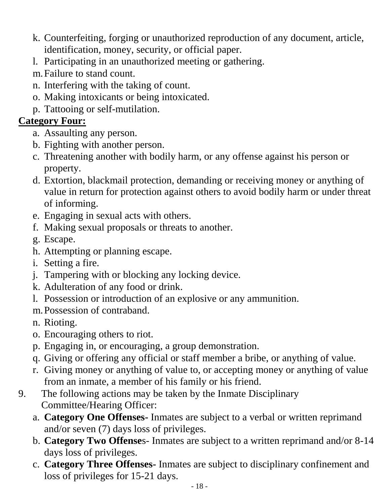- k. Counterfeiting, forging or unauthorized reproduction of any document, article, identification, money, security, or official paper.
- l. Participating in an unauthorized meeting or gathering.
- m.Failure to stand count.
- n. Interfering with the taking of count.
- o. Making intoxicants or being intoxicated.
- p. Tattooing or self-mutilation.

# **Category Four:**

- a. Assaulting any person.
- b. Fighting with another person.
- c. Threatening another with bodily harm, or any offense against his person or property.
- d. Extortion, blackmail protection, demanding or receiving money or anything of value in return for protection against others to avoid bodily harm or under threat of informing.
- e. Engaging in sexual acts with others.
- f. Making sexual proposals or threats to another.
- g. Escape.
- h. Attempting or planning escape.
- i. Setting a fire.
- j. Tampering with or blocking any locking device.
- k. Adulteration of any food or drink.
- l. Possession or introduction of an explosive or any ammunition.
- m.Possession of contraband.
- n. Rioting.
- o. Encouraging others to riot.
- p. Engaging in, or encouraging, a group demonstration.
- q. Giving or offering any official or staff member a bribe, or anything of value.
- r. Giving money or anything of value to, or accepting money or anything of value from an inmate, a member of his family or his friend.
- 9. The following actions may be taken by the Inmate Disciplinary Committee/Hearing Officer:
	- a. **Category One Offenses-** Inmates are subject to a verbal or written reprimand and/or seven (7) days loss of privileges.
	- b. **Category Two Offense**s- Inmates are subject to a written reprimand and/or 8-14 days loss of privileges.
	- c. **Category Three Offenses-** Inmates are subject to disciplinary confinement and loss of privileges for 15-21 days.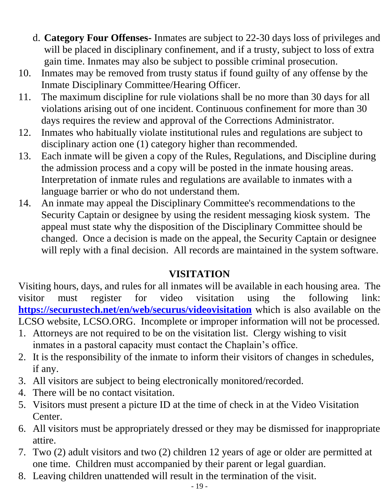- d. **Category Four Offenses-** Inmates are subject to 22-30 days loss of privileges and will be placed in disciplinary confinement, and if a trusty, subject to loss of extra gain time. Inmates may also be subject to possible criminal prosecution.
- 10. Inmates may be removed from trusty status if found guilty of any offense by the Inmate Disciplinary Committee/Hearing Officer.
- 11. The maximum discipline for rule violations shall be no more than 30 days for all violations arising out of one incident. Continuous confinement for more than 30 days requires the review and approval of the Corrections Administrator.
- 12. Inmates who habitually violate institutional rules and regulations are subject to disciplinary action one (1) category higher than recommended.
- 13. Each inmate will be given a copy of the Rules, Regulations, and Discipline during the admission process and a copy will be posted in the inmate housing areas. Interpretation of inmate rules and regulations are available to inmates with a language barrier or who do not understand them.
- 14. An inmate may appeal the Disciplinary Committee's recommendations to the Security Captain or designee by using the resident messaging kiosk system. The appeal must state why the disposition of the Disciplinary Committee should be changed. Once a decision is made on the appeal, the Security Captain or designee will reply with a final decision. All records are maintained in the system software.

# **VISITATION**

Visiting hours, days, and rules for all inmates will be available in each housing area. The visitor must register for video visitation using the following link: **<https://securustech.net/en/web/securus/videovisitation>** which is also available on the LCSO website, LCSO.ORG. Incomplete or improper information will not be processed.

- 1. Attorneys are not required to be on the visitation list. Clergy wishing to visit inmates in a pastoral capacity must contact the Chaplain's office.
- 2. It is the responsibility of the inmate to inform their visitors of changes in schedules, if any.
- 3. All visitors are subject to being electronically monitored/recorded.
- 4. There will be no contact visitation.
- 5. Visitors must present a picture ID at the time of check in at the Video Visitation Center.
- 6. All visitors must be appropriately dressed or they may be dismissed for inappropriate attire.
- 7. Two (2) adult visitors and two (2) children 12 years of age or older are permitted at one time. Children must accompanied by their parent or legal guardian.
- 8. Leaving children unattended will result in the termination of the visit.